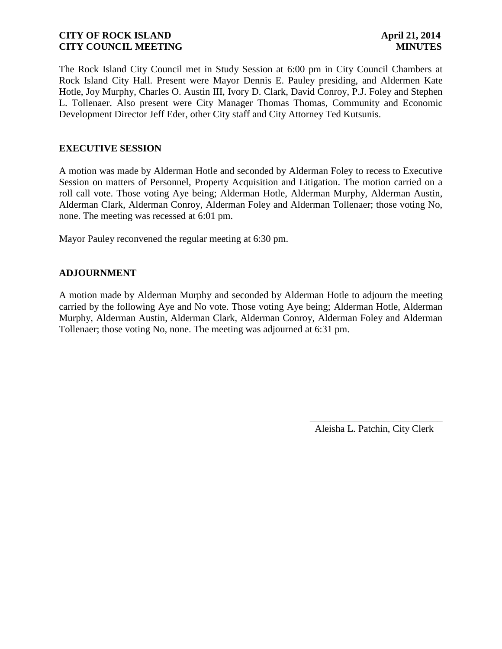The Rock Island City Council met in Study Session at 6:00 pm in City Council Chambers at Rock Island City Hall. Present were Mayor Dennis E. Pauley presiding, and Aldermen Kate Hotle, Joy Murphy, Charles O. Austin III, Ivory D. Clark, David Conroy, P.J. Foley and Stephen L. Tollenaer. Also present were City Manager Thomas Thomas, Community and Economic Development Director Jeff Eder, other City staff and City Attorney Ted Kutsunis.

# **EXECUTIVE SESSION**

A motion was made by Alderman Hotle and seconded by Alderman Foley to recess to Executive Session on matters of Personnel, Property Acquisition and Litigation. The motion carried on a roll call vote. Those voting Aye being; Alderman Hotle, Alderman Murphy, Alderman Austin, Alderman Clark, Alderman Conroy, Alderman Foley and Alderman Tollenaer; those voting No, none. The meeting was recessed at 6:01 pm.

Mayor Pauley reconvened the regular meeting at 6:30 pm.

# **ADJOURNMENT**

A motion made by Alderman Murphy and seconded by Alderman Hotle to adjourn the meeting carried by the following Aye and No vote. Those voting Aye being; Alderman Hotle, Alderman Murphy, Alderman Austin, Alderman Clark, Alderman Conroy, Alderman Foley and Alderman Tollenaer; those voting No, none. The meeting was adjourned at 6:31 pm.

Aleisha L. Patchin, City Clerk

 $\frac{1}{2}$  , and the set of the set of the set of the set of the set of the set of the set of the set of the set of the set of the set of the set of the set of the set of the set of the set of the set of the set of the set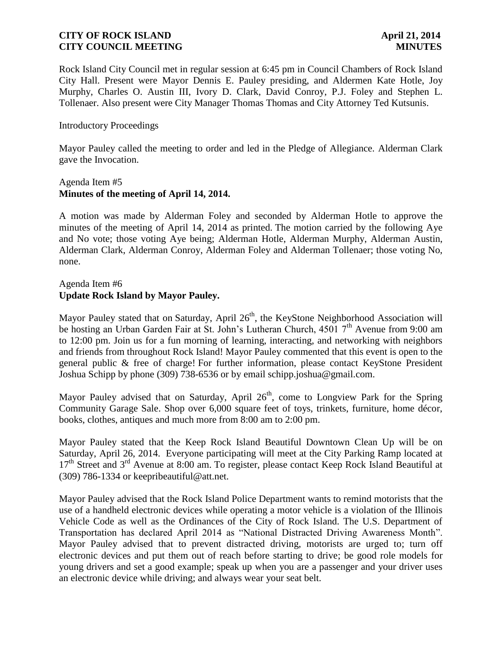Rock Island City Council met in regular session at 6:45 pm in Council Chambers of Rock Island City Hall. Present were Mayor Dennis E. Pauley presiding, and Aldermen Kate Hotle, Joy Murphy, Charles O. Austin III, Ivory D. Clark, David Conroy, P.J. Foley and Stephen L. Tollenaer. Also present were City Manager Thomas Thomas and City Attorney Ted Kutsunis.

## Introductory Proceedings

Mayor Pauley called the meeting to order and led in the Pledge of Allegiance. Alderman Clark gave the Invocation.

## Agenda Item #5 **Minutes of the meeting of April 14, 2014.**

A motion was made by Alderman Foley and seconded by Alderman Hotle to approve the minutes of the meeting of April 14, 2014 as printed. The motion carried by the following Aye and No vote; those voting Aye being; Alderman Hotle, Alderman Murphy, Alderman Austin, Alderman Clark, Alderman Conroy, Alderman Foley and Alderman Tollenaer; those voting No, none.

## Agenda Item #6 **Update Rock Island by Mayor Pauley.**

Mayor Pauley stated that on Saturday, April 26<sup>th</sup>, the KeyStone Neighborhood Association will be hosting an Urban Garden Fair at St. John's Lutheran Church,  $45017<sup>th</sup>$  Avenue from 9:00 am to 12:00 pm. Join us for a fun morning of learning, interacting, and networking with neighbors and friends from throughout Rock Island! Mayor Pauley commented that this event is open to the general public & free of charge! For further information, please contact KeyStone President Joshua Schipp by phone [\(309\) 738-6536](mailto:309)%20738-6536) or by email schipp.joshua@gmail.com.

Mayor Pauley advised that on Saturday, April  $26<sup>th</sup>$ , come to Longview Park for the Spring Community Garage Sale. Shop over 6,000 square feet of toys, trinkets, furniture, home décor, books, clothes, antiques and much more from 8:00 am to 2:00 pm.

Mayor Pauley stated that the Keep Rock Island Beautiful Downtown Clean Up will be on Saturday, April 26, 2014. Everyone participating will meet at the City Parking Ramp located at  $17<sup>th</sup>$  Street and  $3<sup>rd</sup>$  Avenue at 8:00 am. To register, please contact Keep Rock Island Beautiful at (309) 786-1334 or keepribeautiful@att.net.

Mayor Pauley advised that the Rock Island Police Department wants to remind motorists that the use of a handheld electronic devices while operating a motor vehicle is a violation of the Illinois Vehicle Code as well as the Ordinances of the City of Rock Island. The U.S. Department of Transportation has declared April 2014 as "National Distracted Driving Awareness Month". Mayor Pauley advised that to prevent distracted driving, motorists are urged to; turn off electronic devices and put them out of reach before starting to drive; be good role models for young drivers and set a good example; speak up when you are a passenger and your driver uses an electronic device while driving; and always wear your seat belt.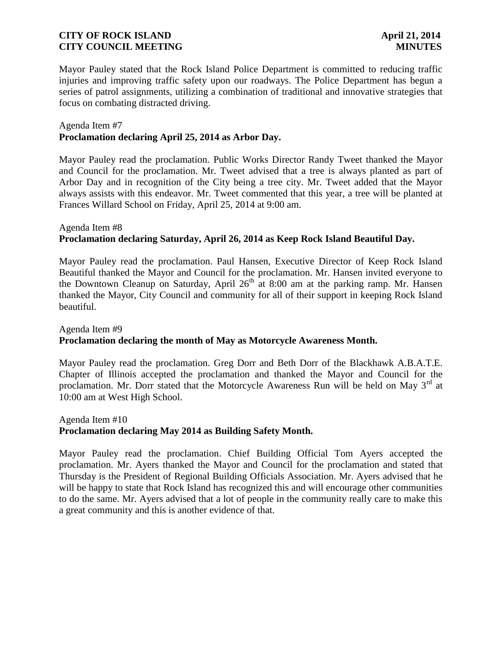Mayor Pauley stated that the Rock Island Police Department is committed to reducing traffic injuries and improving traffic safety upon our roadways. The Police Department has begun a series of patrol assignments, utilizing a combination of traditional and innovative strategies that focus on combating distracted driving.

# Agenda Item #7

## **Proclamation declaring April 25, 2014 as Arbor Day.**

Mayor Pauley read the proclamation. Public Works Director Randy Tweet thanked the Mayor and Council for the proclamation. Mr. Tweet advised that a tree is always planted as part of Arbor Day and in recognition of the City being a tree city. Mr. Tweet added that the Mayor always assists with this endeavor. Mr. Tweet commented that this year, a tree will be planted at Frances Willard School on Friday, April 25, 2014 at 9:00 am.

# Agenda Item #8 **Proclamation declaring Saturday, April 26, 2014 as Keep Rock Island Beautiful Day.**

Mayor Pauley read the proclamation. Paul Hansen, Executive Director of Keep Rock Island Beautiful thanked the Mayor and Council for the proclamation. Mr. Hansen invited everyone to the Downtown Cleanup on Saturday, April  $26<sup>th</sup>$  at 8:00 am at the parking ramp. Mr. Hansen thanked the Mayor, City Council and community for all of their support in keeping Rock Island beautiful.

# Agenda Item #9 **Proclamation declaring the month of May as Motorcycle Awareness Month.**

Mayor Pauley read the proclamation. Greg Dorr and Beth Dorr of the Blackhawk A.B.A.T.E. Chapter of Illinois accepted the proclamation and thanked the Mayor and Council for the proclamation. Mr. Dorr stated that the Motorcycle Awareness Run will be held on May  $3<sup>rd</sup>$  at 10:00 am at West High School.

## Agenda Item #10 **Proclamation declaring May 2014 as Building Safety Month.**

Mayor Pauley read the proclamation. Chief Building Official Tom Ayers accepted the proclamation. Mr. Ayers thanked the Mayor and Council for the proclamation and stated that Thursday is the President of Regional Building Officials Association. Mr. Ayers advised that he will be happy to state that Rock Island has recognized this and will encourage other communities to do the same. Mr. Ayers advised that a lot of people in the community really care to make this a great community and this is another evidence of that.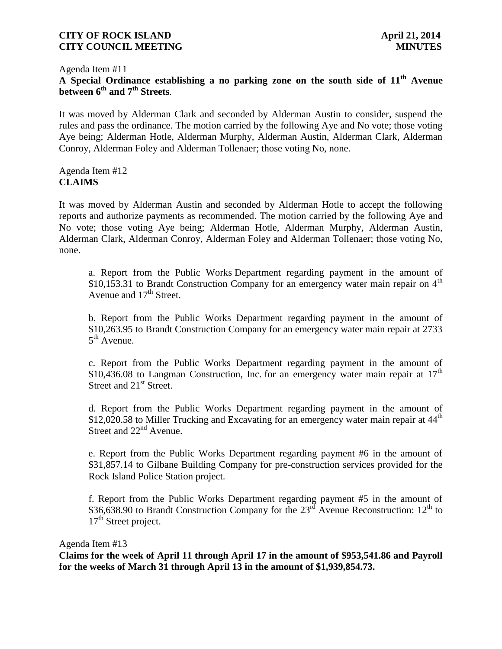# Agenda Item #11

**A Special Ordinance establishing a no parking zone on the south side of 11th Avenue between 6th and 7th Streets**.

It was moved by Alderman Clark and seconded by Alderman Austin to consider, suspend the rules and pass the ordinance. The motion carried by the following Aye and No vote; those voting Aye being; Alderman Hotle, Alderman Murphy, Alderman Austin, Alderman Clark, Alderman Conroy, Alderman Foley and Alderman Tollenaer; those voting No, none.

# Agenda Item #12 **CLAIMS**

It was moved by Alderman Austin and seconded by Alderman Hotle to accept the following reports and authorize payments as recommended. The motion carried by the following Aye and No vote; those voting Aye being; Alderman Hotle, Alderman Murphy, Alderman Austin, Alderman Clark, Alderman Conroy, Alderman Foley and Alderman Tollenaer; those voting No, none.

a. Report from the Public Works Department regarding payment in the amount of \$10,153.31 to Brandt Construction Company for an emergency water main repair on  $4<sup>th</sup>$ Avenue and  $17<sup>th</sup>$  Street.

b. Report from the Public Works Department regarding payment in the amount of \$10,263.95 to Brandt Construction Company for an emergency water main repair at 2733  $5^{\text{th}}$  Avenue.

c. Report from the Public Works Department regarding payment in the amount of \$10,436.08 to Langman Construction, Inc. for an emergency water main repair at  $17<sup>th</sup>$ Street and 21<sup>st</sup> Street.

d. Report from the Public Works Department regarding payment in the amount of \$12,020.58 to Miller Trucking and Excavating for an emergency water main repair at  $44<sup>th</sup>$ Street and 22<sup>nd</sup> Avenue.

e. Report from the Public Works Department regarding payment #6 in the amount of \$31,857.14 to Gilbane Building Company for pre-construction services provided for the Rock Island Police Station project.

f. Report from the Public Works Department regarding payment #5 in the amount of \$36,638.90 to Brandt Construction Company for the  $23<sup>rd</sup>$  Avenue Reconstruction:  $12<sup>th</sup>$  to 17<sup>th</sup> Street project.

#### Agenda Item #13

**Claims for the week of April 11 through April 17 in the amount of \$953,541.86 and Payroll for the weeks of March 31 through April 13 in the amount of \$1,939,854.73.**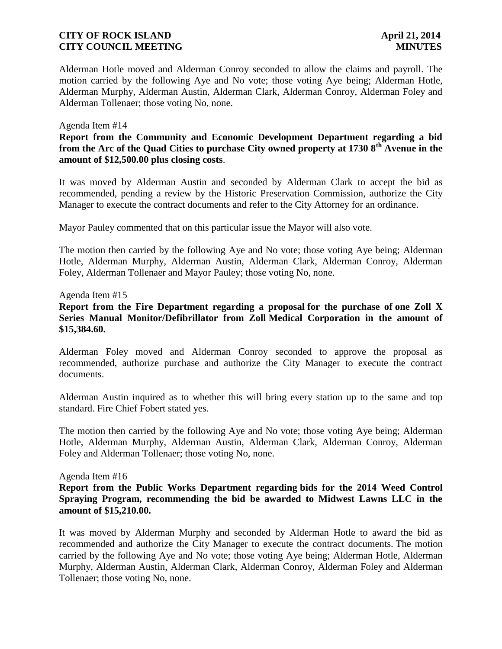Alderman Hotle moved and Alderman Conroy seconded to allow the claims and payroll. The motion carried by the following Aye and No vote; those voting Aye being; Alderman Hotle, Alderman Murphy, Alderman Austin, Alderman Clark, Alderman Conroy, Alderman Foley and Alderman Tollenaer; those voting No, none.

#### Agenda Item #14

# **Report from the Community and Economic Development Department regarding a bid from the Arc of the Quad Cities to purchase City owned property at 1730 8th Avenue in the amount of \$12,500.00 plus closing costs**.

It was moved by Alderman Austin and seconded by Alderman Clark to accept the bid as recommended, pending a review by the Historic Preservation Commission, authorize the City Manager to execute the contract documents and refer to the City Attorney for an ordinance.

Mayor Pauley commented that on this particular issue the Mayor will also vote.

The motion then carried by the following Aye and No vote; those voting Aye being; Alderman Hotle, Alderman Murphy, Alderman Austin, Alderman Clark, Alderman Conroy, Alderman Foley, Alderman Tollenaer and Mayor Pauley; those voting No, none.

#### Agenda Item #15

# **Report from the Fire Department regarding a proposal for the purchase of one Zoll X Series Manual Monitor/Defibrillator from Zoll Medical Corporation in the amount of \$15,384.60.**

Alderman Foley moved and Alderman Conroy seconded to approve the proposal as recommended, authorize purchase and authorize the City Manager to execute the contract documents.

Alderman Austin inquired as to whether this will bring every station up to the same and top standard. Fire Chief Fobert stated yes.

The motion then carried by the following Aye and No vote; those voting Aye being; Alderman Hotle, Alderman Murphy, Alderman Austin, Alderman Clark, Alderman Conroy, Alderman Foley and Alderman Tollenaer; those voting No, none.

#### Agenda Item #16

## **Report from the Public Works Department regarding bids for the 2014 Weed Control Spraying Program, recommending the bid be awarded to Midwest Lawns LLC in the amount of \$15,210.00.**

It was moved by Alderman Murphy and seconded by Alderman Hotle to award the bid as recommended and authorize the City Manager to execute the contract documents. The motion carried by the following Aye and No vote; those voting Aye being; Alderman Hotle, Alderman Murphy, Alderman Austin, Alderman Clark, Alderman Conroy, Alderman Foley and Alderman Tollenaer; those voting No, none.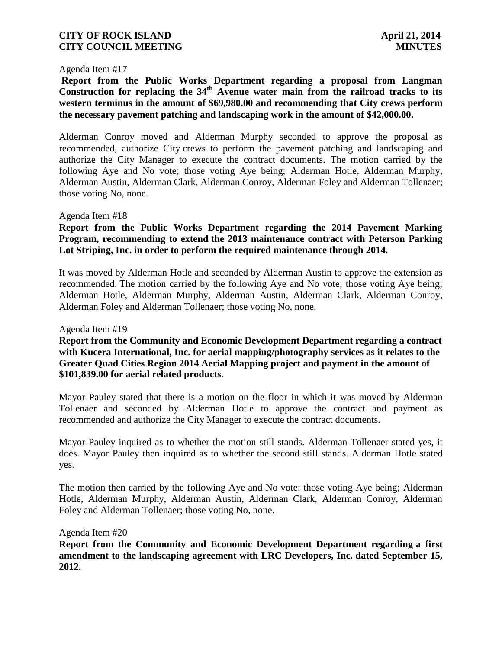#### Agenda Item #17

**Report from the Public Works Department regarding a proposal from Langman**  Construction for replacing the 34<sup>th</sup> Avenue water main from the railroad tracks to its **western terminus in the amount of \$69,980.00 and recommending that City crews perform the necessary pavement patching and landscaping work in the amount of \$42,000.00.** 

Alderman Conroy moved and Alderman Murphy seconded to approve the proposal as recommended, authorize City crews to perform the pavement patching and landscaping and authorize the City Manager to execute the contract documents. The motion carried by the following Aye and No vote; those voting Aye being; Alderman Hotle, Alderman Murphy, Alderman Austin, Alderman Clark, Alderman Conroy, Alderman Foley and Alderman Tollenaer; those voting No, none.

#### Agenda Item #18

## **Report from the Public Works Department regarding the 2014 Pavement Marking Program, recommending to extend the 2013 maintenance contract with Peterson Parking Lot Striping, Inc. in order to perform the required maintenance through 2014.**

It was moved by Alderman Hotle and seconded by Alderman Austin to approve the extension as recommended. The motion carried by the following Aye and No vote; those voting Aye being; Alderman Hotle, Alderman Murphy, Alderman Austin, Alderman Clark, Alderman Conroy, Alderman Foley and Alderman Tollenaer; those voting No, none.

Agenda Item #19

**Report from the Community and Economic Development Department regarding a contract with Kucera International, Inc. for aerial mapping/photography services as it relates to the Greater Quad Cities Region 2014 Aerial Mapping project and payment in the amount of \$101,839.00 for aerial related products**.

Mayor Pauley stated that there is a motion on the floor in which it was moved by Alderman Tollenaer and seconded by Alderman Hotle to approve the contract and payment as recommended and authorize the City Manager to execute the contract documents.

Mayor Pauley inquired as to whether the motion still stands. Alderman Tollenaer stated yes, it does. Mayor Pauley then inquired as to whether the second still stands. Alderman Hotle stated yes.

The motion then carried by the following Aye and No vote; those voting Aye being; Alderman Hotle, Alderman Murphy, Alderman Austin, Alderman Clark, Alderman Conroy, Alderman Foley and Alderman Tollenaer; those voting No, none.

Agenda Item #20

**Report from the Community and Economic Development Department regarding a first amendment to the landscaping agreement with LRC Developers, Inc. dated September 15, 2012.**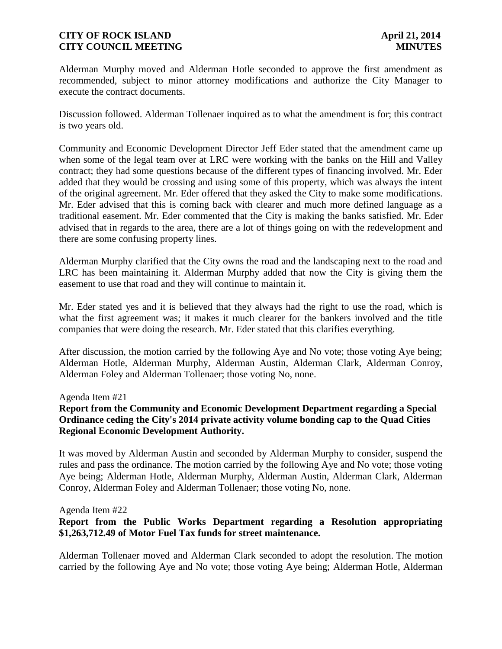Alderman Murphy moved and Alderman Hotle seconded to approve the first amendment as recommended, subject to minor attorney modifications and authorize the City Manager to execute the contract documents.

Discussion followed. Alderman Tollenaer inquired as to what the amendment is for; this contract is two years old.

Community and Economic Development Director Jeff Eder stated that the amendment came up when some of the legal team over at LRC were working with the banks on the Hill and Valley contract; they had some questions because of the different types of financing involved. Mr. Eder added that they would be crossing and using some of this property, which was always the intent of the original agreement. Mr. Eder offered that they asked the City to make some modifications. Mr. Eder advised that this is coming back with clearer and much more defined language as a traditional easement. Mr. Eder commented that the City is making the banks satisfied. Mr. Eder advised that in regards to the area, there are a lot of things going on with the redevelopment and there are some confusing property lines.

Alderman Murphy clarified that the City owns the road and the landscaping next to the road and LRC has been maintaining it. Alderman Murphy added that now the City is giving them the easement to use that road and they will continue to maintain it.

Mr. Eder stated yes and it is believed that they always had the right to use the road, which is what the first agreement was; it makes it much clearer for the bankers involved and the title companies that were doing the research. Mr. Eder stated that this clarifies everything.

After discussion, the motion carried by the following Aye and No vote; those voting Aye being; Alderman Hotle, Alderman Murphy, Alderman Austin, Alderman Clark, Alderman Conroy, Alderman Foley and Alderman Tollenaer; those voting No, none.

Agenda Item #21

# **Report from the Community and Economic Development Department regarding a Special Ordinance ceding the City's 2014 private activity volume bonding cap to the Quad Cities Regional Economic Development Authority.**

It was moved by Alderman Austin and seconded by Alderman Murphy to consider, suspend the rules and pass the ordinance. The motion carried by the following Aye and No vote; those voting Aye being; Alderman Hotle, Alderman Murphy, Alderman Austin, Alderman Clark, Alderman Conroy, Alderman Foley and Alderman Tollenaer; those voting No, none.

Agenda Item #22

# **Report from the Public Works Department regarding a Resolution appropriating \$1,263,712.49 of Motor Fuel Tax funds for street maintenance.**

Alderman Tollenaer moved and Alderman Clark seconded to adopt the resolution. The motion carried by the following Aye and No vote; those voting Aye being; Alderman Hotle, Alderman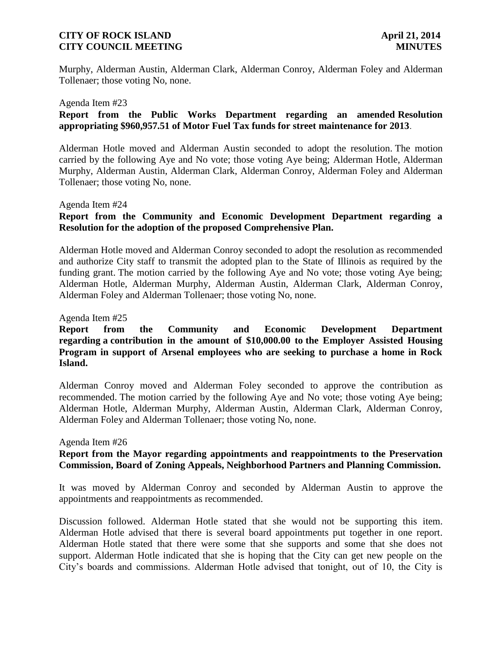Murphy, Alderman Austin, Alderman Clark, Alderman Conroy, Alderman Foley and Alderman Tollenaer; those voting No, none.

#### Agenda Item #23

## **Report from the Public Works Department regarding an amended Resolution appropriating \$960,957.51 of Motor Fuel Tax funds for street maintenance for 2013**.

Alderman Hotle moved and Alderman Austin seconded to adopt the resolution. The motion carried by the following Aye and No vote; those voting Aye being; Alderman Hotle, Alderman Murphy, Alderman Austin, Alderman Clark, Alderman Conroy, Alderman Foley and Alderman Tollenaer; those voting No, none.

## Agenda Item #24

# **Report from the Community and Economic Development Department regarding a Resolution for the adoption of the proposed Comprehensive Plan.**

Alderman Hotle moved and Alderman Conroy seconded to adopt the resolution as recommended and authorize City staff to transmit the adopted plan to the State of Illinois as required by the funding grant. The motion carried by the following Aye and No vote; those voting Aye being; Alderman Hotle, Alderman Murphy, Alderman Austin, Alderman Clark, Alderman Conroy, Alderman Foley and Alderman Tollenaer; those voting No, none.

Agenda Item #25

# **Report from the Community and Economic Development Department regarding a contribution in the amount of \$10,000.00 to the Employer Assisted Housing Program in support of Arsenal employees who are seeking to purchase a home in Rock Island.**

Alderman Conroy moved and Alderman Foley seconded to approve the contribution as recommended. The motion carried by the following Aye and No vote; those voting Aye being; Alderman Hotle, Alderman Murphy, Alderman Austin, Alderman Clark, Alderman Conroy, Alderman Foley and Alderman Tollenaer; those voting No, none.

#### Agenda Item #26

# **Report from the Mayor regarding appointments and reappointments to the Preservation Commission, Board of Zoning Appeals, Neighborhood Partners and Planning Commission.**

It was moved by Alderman Conroy and seconded by Alderman Austin to approve the appointments and reappointments as recommended.

Discussion followed. Alderman Hotle stated that she would not be supporting this item. Alderman Hotle advised that there is several board appointments put together in one report. Alderman Hotle stated that there were some that she supports and some that she does not support. Alderman Hotle indicated that she is hoping that the City can get new people on the City's boards and commissions. Alderman Hotle advised that tonight, out of 10, the City is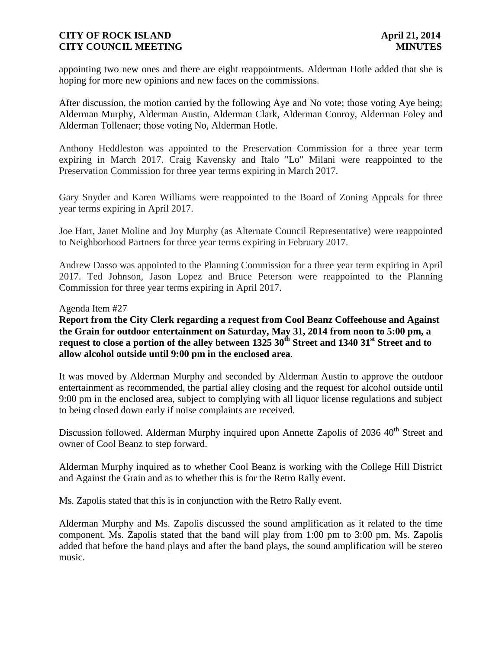appointing two new ones and there are eight reappointments. Alderman Hotle added that she is hoping for more new opinions and new faces on the commissions.

After discussion, the motion carried by the following Aye and No vote; those voting Aye being; Alderman Murphy, Alderman Austin, Alderman Clark, Alderman Conroy, Alderman Foley and Alderman Tollenaer; those voting No, Alderman Hotle.

Anthony Heddleston was appointed to the Preservation Commission for a three year term expiring in March 2017. Craig Kavensky and Italo "Lo" Milani were reappointed to the Preservation Commission for three year terms expiring in March 2017.

Gary Snyder and Karen Williams were reappointed to the Board of Zoning Appeals for three year terms expiring in April 2017.

Joe Hart, Janet Moline and Joy Murphy (as Alternate Council Representative) were reappointed to Neighborhood Partners for three year terms expiring in February 2017.

Andrew Dasso was appointed to the Planning Commission for a three year term expiring in April 2017. Ted Johnson, Jason Lopez and Bruce Peterson were reappointed to the Planning Commission for three year terms expiring in April 2017.

## Agenda Item #27

**Report from the City Clerk regarding a request from Cool Beanz Coffeehouse and Against the Grain for outdoor entertainment on Saturday, May 31, 2014 from noon to 5:00 pm, a request to close a portion of the alley between 1325 30th Street and 1340 31st Street and to allow alcohol outside until 9:00 pm in the enclosed area**.

It was moved by Alderman Murphy and seconded by Alderman Austin to approve the outdoor entertainment as recommended, the partial alley closing and the request for alcohol outside until 9:00 pm in the enclosed area, subject to complying with all liquor license regulations and subject to being closed down early if noise complaints are received.

Discussion followed. Alderman Murphy inquired upon Annette Zapolis of 2036 40<sup>th</sup> Street and owner of Cool Beanz to step forward.

Alderman Murphy inquired as to whether Cool Beanz is working with the College Hill District and Against the Grain and as to whether this is for the Retro Rally event.

Ms. Zapolis stated that this is in conjunction with the Retro Rally event.

Alderman Murphy and Ms. Zapolis discussed the sound amplification as it related to the time component. Ms. Zapolis stated that the band will play from 1:00 pm to 3:00 pm. Ms. Zapolis added that before the band plays and after the band plays, the sound amplification will be stereo music.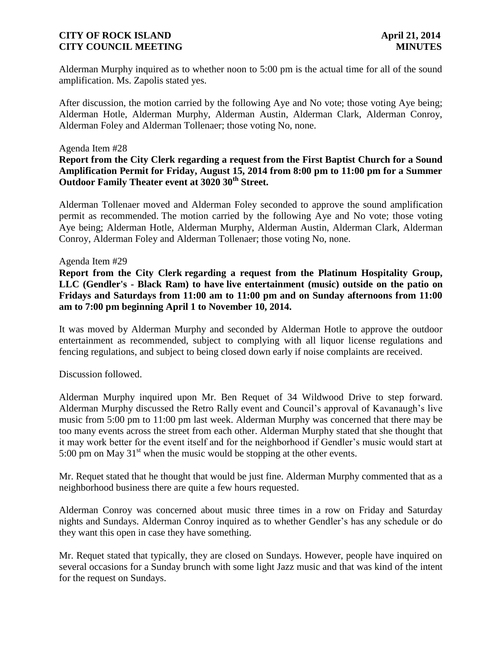Alderman Murphy inquired as to whether noon to 5:00 pm is the actual time for all of the sound amplification. Ms. Zapolis stated yes.

After discussion, the motion carried by the following Aye and No vote; those voting Aye being; Alderman Hotle, Alderman Murphy, Alderman Austin, Alderman Clark, Alderman Conroy, Alderman Foley and Alderman Tollenaer; those voting No, none.

## Agenda Item #28

**Report from the City Clerk regarding a request from the First Baptist Church for a Sound Amplification Permit for Friday, August 15, 2014 from 8:00 pm to 11:00 pm for a Summer Outdoor Family Theater event at 3020 30th Street.**

Alderman Tollenaer moved and Alderman Foley seconded to approve the sound amplification permit as recommended. The motion carried by the following Aye and No vote; those voting Aye being; Alderman Hotle, Alderman Murphy, Alderman Austin, Alderman Clark, Alderman Conroy, Alderman Foley and Alderman Tollenaer; those voting No, none.

## Agenda Item #29

**Report from the City Clerk regarding a request from the Platinum Hospitality Group, LLC (Gendler's - Black Ram) to have live entertainment (music) outside on the patio on Fridays and Saturdays from 11:00 am to 11:00 pm and on Sunday afternoons from 11:00 am to 7:00 pm beginning April 1 to November 10, 2014.**

It was moved by Alderman Murphy and seconded by Alderman Hotle to approve the outdoor entertainment as recommended, subject to complying with all liquor license regulations and fencing regulations, and subject to being closed down early if noise complaints are received.

Discussion followed.

Alderman Murphy inquired upon Mr. Ben Requet of 34 Wildwood Drive to step forward. Alderman Murphy discussed the Retro Rally event and Council's approval of Kavanaugh's live music from 5:00 pm to 11:00 pm last week. Alderman Murphy was concerned that there may be too many events across the street from each other. Alderman Murphy stated that she thought that it may work better for the event itself and for the neighborhood if Gendler's music would start at 5:00 pm on May  $31<sup>st</sup>$  when the music would be stopping at the other events.

Mr. Requet stated that he thought that would be just fine. Alderman Murphy commented that as a neighborhood business there are quite a few hours requested.

Alderman Conroy was concerned about music three times in a row on Friday and Saturday nights and Sundays. Alderman Conroy inquired as to whether Gendler's has any schedule or do they want this open in case they have something.

Mr. Requet stated that typically, they are closed on Sundays. However, people have inquired on several occasions for a Sunday brunch with some light Jazz music and that was kind of the intent for the request on Sundays.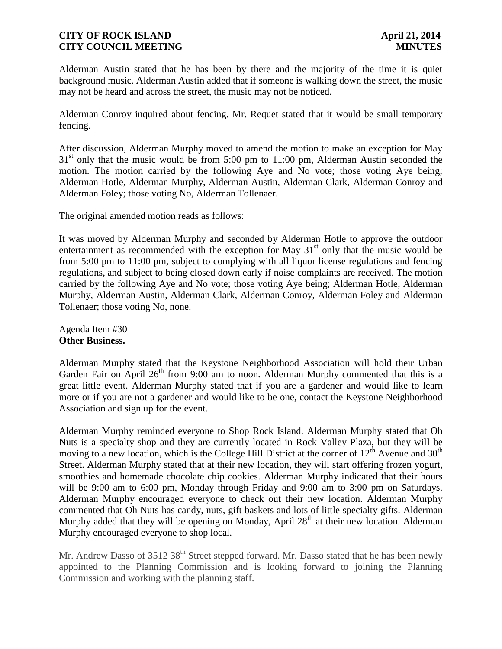Alderman Austin stated that he has been by there and the majority of the time it is quiet background music. Alderman Austin added that if someone is walking down the street, the music may not be heard and across the street, the music may not be noticed.

Alderman Conroy inquired about fencing. Mr. Requet stated that it would be small temporary fencing.

After discussion, Alderman Murphy moved to amend the motion to make an exception for May  $31<sup>st</sup>$  only that the music would be from 5:00 pm to 11:00 pm, Alderman Austin seconded the motion. The motion carried by the following Aye and No vote; those voting Aye being; Alderman Hotle, Alderman Murphy, Alderman Austin, Alderman Clark, Alderman Conroy and Alderman Foley; those voting No, Alderman Tollenaer.

The original amended motion reads as follows:

It was moved by Alderman Murphy and seconded by Alderman Hotle to approve the outdoor entertainment as recommended with the exception for May  $31<sup>st</sup>$  only that the music would be from 5:00 pm to 11:00 pm, subject to complying with all liquor license regulations and fencing regulations, and subject to being closed down early if noise complaints are received. The motion carried by the following Aye and No vote; those voting Aye being; Alderman Hotle, Alderman Murphy, Alderman Austin, Alderman Clark, Alderman Conroy, Alderman Foley and Alderman Tollenaer; those voting No, none.

Agenda Item #30 **Other Business.**

Alderman Murphy stated that the Keystone Neighborhood Association will hold their Urban Garden Fair on April  $26<sup>th</sup>$  from 9:00 am to noon. Alderman Murphy commented that this is a great little event. Alderman Murphy stated that if you are a gardener and would like to learn more or if you are not a gardener and would like to be one, contact the Keystone Neighborhood Association and sign up for the event.

Alderman Murphy reminded everyone to Shop Rock Island. Alderman Murphy stated that Oh Nuts is a specialty shop and they are currently located in Rock Valley Plaza, but they will be moving to a new location, which is the College Hill District at the corner of  $12<sup>th</sup>$  Avenue and  $30<sup>th</sup>$ Street. Alderman Murphy stated that at their new location, they will start offering frozen yogurt, smoothies and homemade chocolate chip cookies. Alderman Murphy indicated that their hours will be 9:00 am to 6:00 pm, Monday through Friday and 9:00 am to 3:00 pm on Saturdays. Alderman Murphy encouraged everyone to check out their new location. Alderman Murphy commented that Oh Nuts has candy, nuts, gift baskets and lots of little specialty gifts. Alderman Murphy added that they will be opening on Monday, April  $28<sup>th</sup>$  at their new location. Alderman Murphy encouraged everyone to shop local.

Mr. Andrew Dasso of 3512 38<sup>th</sup> Street stepped forward. Mr. Dasso stated that he has been newly appointed to the Planning Commission and is looking forward to joining the Planning Commission and working with the planning staff.